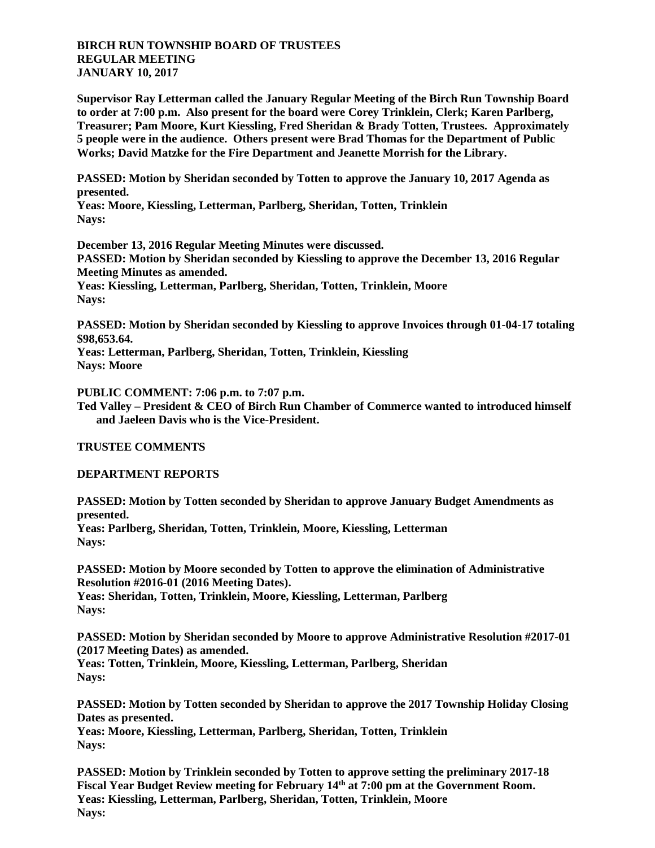**BIRCH RUN TOWNSHIP BOARD OF TRUSTEES REGULAR MEETING JANUARY 10, 2017**

**Supervisor Ray Letterman called the January Regular Meeting of the Birch Run Township Board to order at 7:00 p.m. Also present for the board were Corey Trinklein, Clerk; Karen Parlberg, Treasurer; Pam Moore, Kurt Kiessling, Fred Sheridan & Brady Totten, Trustees. Approximately 5 people were in the audience. Others present were Brad Thomas for the Department of Public Works; David Matzke for the Fire Department and Jeanette Morrish for the Library.**

**PASSED: Motion by Sheridan seconded by Totten to approve the January 10, 2017 Agenda as presented.**

**Yeas: Moore, Kiessling, Letterman, Parlberg, Sheridan, Totten, Trinklein Nays:** 

**December 13, 2016 Regular Meeting Minutes were discussed. PASSED: Motion by Sheridan seconded by Kiessling to approve the December 13, 2016 Regular Meeting Minutes as amended. Yeas: Kiessling, Letterman, Parlberg, Sheridan, Totten, Trinklein, Moore Nays:** 

**PASSED: Motion by Sheridan seconded by Kiessling to approve Invoices through 01-04-17 totaling \$98,653.64.**

**Yeas: Letterman, Parlberg, Sheridan, Totten, Trinklein, Kiessling Nays: Moore**

**PUBLIC COMMENT: 7:06 p.m. to 7:07 p.m.**

**Ted Valley – President & CEO of Birch Run Chamber of Commerce wanted to introduced himself and Jaeleen Davis who is the Vice-President.**

**TRUSTEE COMMENTS**

**DEPARTMENT REPORTS**

**PASSED: Motion by Totten seconded by Sheridan to approve January Budget Amendments as presented.**

**Yeas: Parlberg, Sheridan, Totten, Trinklein, Moore, Kiessling, Letterman Nays:** 

**PASSED: Motion by Moore seconded by Totten to approve the elimination of Administrative Resolution #2016-01 (2016 Meeting Dates). Yeas: Sheridan, Totten, Trinklein, Moore, Kiessling, Letterman, Parlberg Nays:** 

**PASSED: Motion by Sheridan seconded by Moore to approve Administrative Resolution #2017-01 (2017 Meeting Dates) as amended. Yeas: Totten, Trinklein, Moore, Kiessling, Letterman, Parlberg, Sheridan Nays:** 

**PASSED: Motion by Totten seconded by Sheridan to approve the 2017 Township Holiday Closing Dates as presented. Yeas: Moore, Kiessling, Letterman, Parlberg, Sheridan, Totten, Trinklein Nays:** 

**PASSED: Motion by Trinklein seconded by Totten to approve setting the preliminary 2017-18 Fiscal Year Budget Review meeting for February 14th at 7:00 pm at the Government Room. Yeas: Kiessling, Letterman, Parlberg, Sheridan, Totten, Trinklein, Moore Nays:**